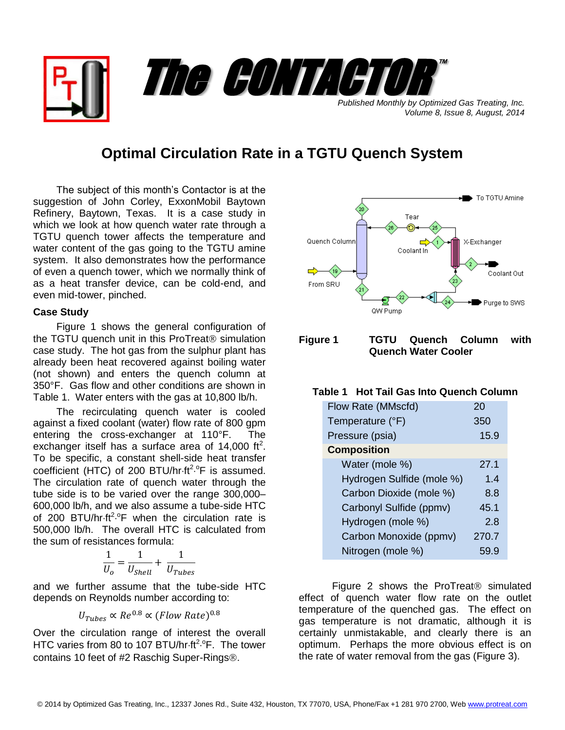*Published Monthly by Optimized Gas Treating, Inc. Volume 8, Issue 8, August, 2014* The CONTACTOR

™

# **Optimal Circulation Rate in a TGTU Quench System**

The subject of this month's Contactor is at the suggestion of John Corley, ExxonMobil Baytown Refinery, Baytown, Texas. It is a case study in which we look at how quench water rate through a TGTU quench tower affects the temperature and water content of the gas going to the TGTU amine system. It also demonstrates how the performance of even a quench tower, which we normally think of as a heat transfer device, can be cold-end, and even mid-tower, pinched.

### **Case Study**

Figure 1 shows the general configuration of the TGTU quench unit in this ProTreat $@$  simulation case study. The hot gas from the sulphur plant has already been heat recovered against boiling water (not shown) and enters the quench column at 350°F. Gas flow and other conditions are shown in Table 1. Water enters with the gas at 10,800 lb/h.

The recirculating quench water is cooled against a fixed coolant (water) flow rate of 800 gpm entering the cross-exchanger at 110°F. The exchanger itself has a surface area of  $14,000$  ft<sup>2</sup>. To be specific, a constant shell-side heat transfer coefficient (HTC) of 200 BTU/hr $\cdot$ ft<sup>2</sup>. $\rm{^{\circ}F}$  is assumed. The circulation rate of quench water through the tube side is to be varied over the range 300,000– 600,000 lb/h, and we also assume a tube-side HTC of 200 BTU/hr $\cdot$ ft<sup>2</sup>. <sup>o</sup>F when the circulation rate is 500,000 lb/h. The overall HTC is calculated from the sum of resistances formula:

$$
\frac{1}{U_o} = \frac{1}{U_{Shell}} + \frac{1}{U_{Tubes}}
$$

and we further assume that the tube-side HTC depends on Reynolds number according to:

$$
U_{Tubes} \propto Re^{0.8} \propto (Flow Rate)^{0.8}
$$

Over the circulation range of interest the overall HTC varies from 80 to 107 BTU/hr·ft<sup>2.o</sup>F. The tower contains 10 feet of #2 Raschig Super-Rings<sup>®</sup>.



**Figure 1 TGTU Quench Column with Quench Water Cooler**

## **Table 1 Hot Tail Gas Into Quench Column**

| Flow Rate (MMscfd)        | 20    |
|---------------------------|-------|
| Temperature (°F)          | 350   |
| Pressure (psia)           | 15.9  |
| <b>Composition</b>        |       |
| Water (mole %)            | 27.1  |
| Hydrogen Sulfide (mole %) | 1.4   |
| Carbon Dioxide (mole %)   | 8.8   |
| Carbonyl Sulfide (ppmv)   | 45.1  |
| Hydrogen (mole %)         | 2.8   |
| Carbon Monoxide (ppmv)    | 270.7 |
| Nitrogen (mole %)         |       |

Figure 2 shows the ProTreat<sup>®</sup> simulated effect of quench water flow rate on the outlet temperature of the quenched gas. The effect on gas temperature is not dramatic, although it is certainly unmistakable, and clearly there is an optimum. Perhaps the more obvious effect is on the rate of water removal from the gas (Figure 3).